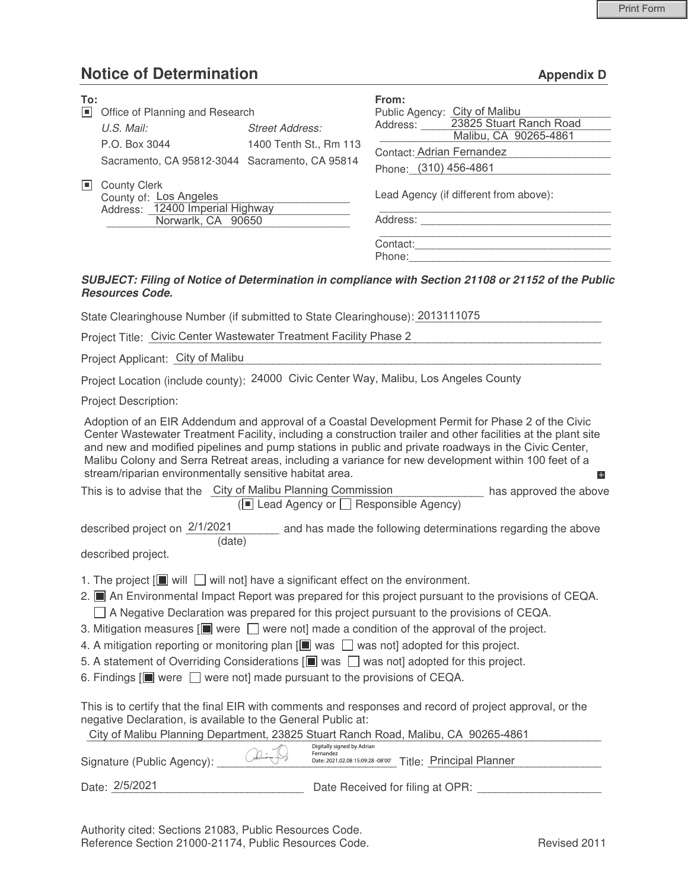## **Notice of Determination Appendix D**

| To:<br>Iш | Office of Planning and Research                                                                        |                        | From:<br>Public Agency: City of Malibu                    |                                                                                                    |
|-----------|--------------------------------------------------------------------------------------------------------|------------------------|-----------------------------------------------------------|----------------------------------------------------------------------------------------------------|
|           | U.S. Mail:                                                                                             | <b>Street Address:</b> | Address:                                                  | 23825 Stuart Ranch Road<br>Malibu, CA 90265-4861                                                   |
|           | P.O. Box 3044<br>Sacramento, CA 95812-3044 Sacramento, CA 95814                                        | 1400 Tenth St., Rm 113 | <b>Contact: Adrian Fernandez</b><br>Phone: (310) 456-4861 |                                                                                                    |
| ШL        | <b>County Clerk</b><br>County of: Los Angeles<br>Address: 12400 Imperial Highway<br>Norwarlk, CA 90650 |                        | Lead Agency (if different from above):<br>Address:        |                                                                                                    |
|           |                                                                                                        |                        | Contact:<br>Phone:                                        |                                                                                                    |
|           |                                                                                                        |                        |                                                           | SUBJECT: Filing of Notice of Determination in compliance with Section 21108 or 21152 of the Public |

## *SUBJECT: Filing of Notice of Determination in compliance with Section 21108 or 21152 of the Public Resources Code.*

State Clearinghouse Number (if submitted to State Clearinghouse): 2013111075

Project Title: Civic Center Wastewater Treatment Facility Phase 2

Project Applicant: City of Malibu **Example 20** Applicant: City of Malibu

Project Location (include county): 24000 Civic Center Way, Malibu, Los Angeles County

Project Description:

Adoption of an EIR Addendum and approval of a Coastal Development Permit for Phase 2 of the Civic Center Wastewater Treatment Facility, including a construction trailer and other facilities at the plant site and new and modified pipelines and pump stations in public and private roadways in the Civic Center, Malibu Colony and Serra Retreat areas, including a variance for new development within 100 feet of a stream/riparian environmentally sensitive habitat area. E.

| This is to advise that the City of Malibu Planning Commission     | has approved the above |  |
|-------------------------------------------------------------------|------------------------|--|
| $(\blacksquare$ Lead Agency or $\blacksquare$ Responsible Agency) |                        |  |

and has made the following determinations regarding the above (date) described project on 2/1/2021

described project.

- 1. The project  $[\blacksquare]$  will  $\square$  will not] have a significant effect on the environment.
- 2. An Environmental Impact Report was prepared for this project pursuant to the provisions of CEQA.  $\Box$  A Negative Declaration was prepared for this project pursuant to the provisions of CEQA.
- 3. Mitigation measures  $[\blacksquare]$  were  $\Box$  were not] made a condition of the approval of the project.
- 4. A mitigation reporting or monitoring plan  $[\blacksquare$  was  $\Box$  was not] adopted for this project.
- 5. A statement of Overriding Considerations  $[\blacksquare$  was  $\Box$  was not] adopted for this project.
- 6. Findings  $[\blacksquare]$  were  $\Box$  were not] made pursuant to the provisions of CEQA.

This is to certify that the final EIR with comments and responses and record of project approval, or the negative Declaration, is available to the General Public at:

|                            |       | City of Malibu Planning Department, 23825 Stuart Ranch Road, Malibu, CA 90265-4861                    |
|----------------------------|-------|-------------------------------------------------------------------------------------------------------|
| Signature (Public Agency): | alian | Digitally signed by Adrian<br>Fernandez<br>Date: 2021.02.08 15:09:28 -08'00' Title: Principal Planner |
| Date: 2/5/2021             |       | Date Received for filing at OPR:                                                                      |

Authority cited: Sections 21083, Public Resources Code. Reference Section 21000-21174, Public Resources Code. The Contract Revised 2011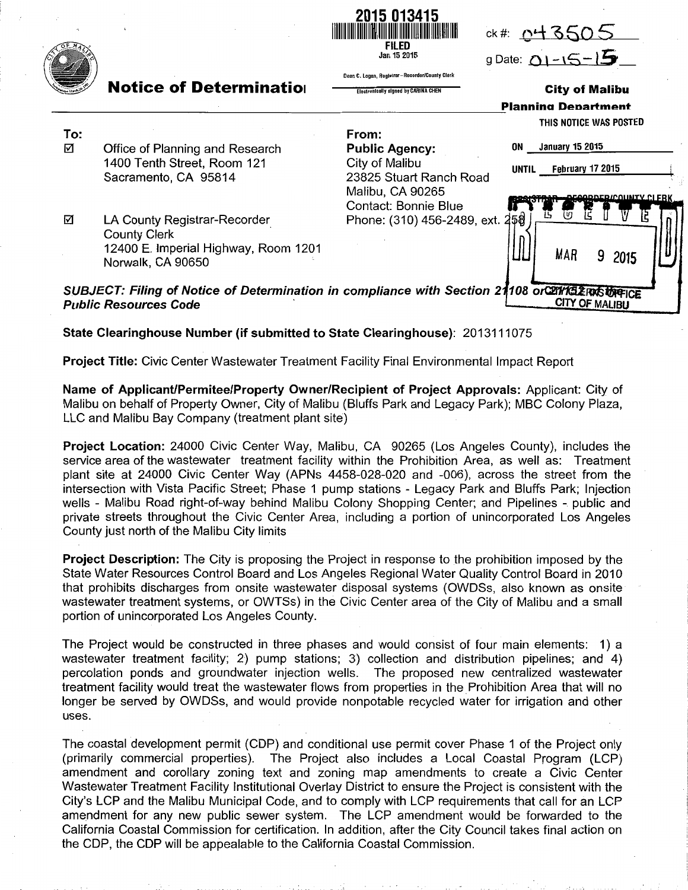

State Clearinghouse Number (if submitted to State Clearinghouse): 2013111075

Project Title: Civic Center Wastewater Treatment Facility Final Environmental Impact Report

Name of Applicant/Permitee/Property Owner/Recipient of Project Approvals: Applicant: City of Malibu on behalf of Property Owner, City of Malibu (Bluffs Park and Legacy Park); MBC Colony Plaza, LLC and Malibu Bay Company (treatment plant site)

Project Location: 24000 Civic Center Way, Malibu, CA 90265 (Los Angeles County), includes the service area of the wastewater treatment facility within the Prohibition Area, as well as: Treatment plant site at 24000 Civic Center Way (APNs 4458-028-020 and -006), across the street from the intersection with Vista Pacific Street; Phase 1 pump stations -Legacy Park and Bluffs Park; Injection wells - Malibu Road right-of-way behind Malibu Colony Shopping Center; and Pipelines - public and private streets throughout the Civic Center Area, including a portion of unincorporated Los Angeles County just north of the Malibu City limits

**Project Description:** The City is proposing the Project in response to the prohibition imposed by the State Water Resources Control Board and Los Angeles Regional Water Quality Control Board in 2010 that prohibits discharges from onsite wastewater disposal systems (OWDSs, also known as onsite wastewater treatment systems, or OWTSs) in the Civic Center area of the City of Malibu and a small portion of unincorporated Los Angeles County.

The Project would be constructed in three phases and would consist of four main elements: 1) a wastewater treatment facility; 2) pump stations; 3) collection and distribution pipelines; and 4) percolation ponds and groundwater injection wells. The proposed new centralized wastewater treatment facility would treat the wastewater flows from properties in the Prohibition Area that will no longer be served by OWDSs, and would provide nonpotable recycled water for irrigation and other uses.

The coastal development permit (CDP) and conditional use permit cover Phase 1 of the Project only (primarily commercial properties). The Project also includes a Local Coastal Program (LCP) amendment and corollary zoning text and zoning map amendments to create a Civic Center Wastewater Treatment Facility Institutional Overlay District to ensure the Project is consistent with the City's LCP and the Malibu Municipal Code, and to comply with LCP requirements that call for an LCP amendment for any new public sewer system. The LCP amendment would be forwarded to the California Coastal Commission for certification. In addition, after the City Council takes final action on the CDP, the CDP will be appealable to the California Coastal Commission.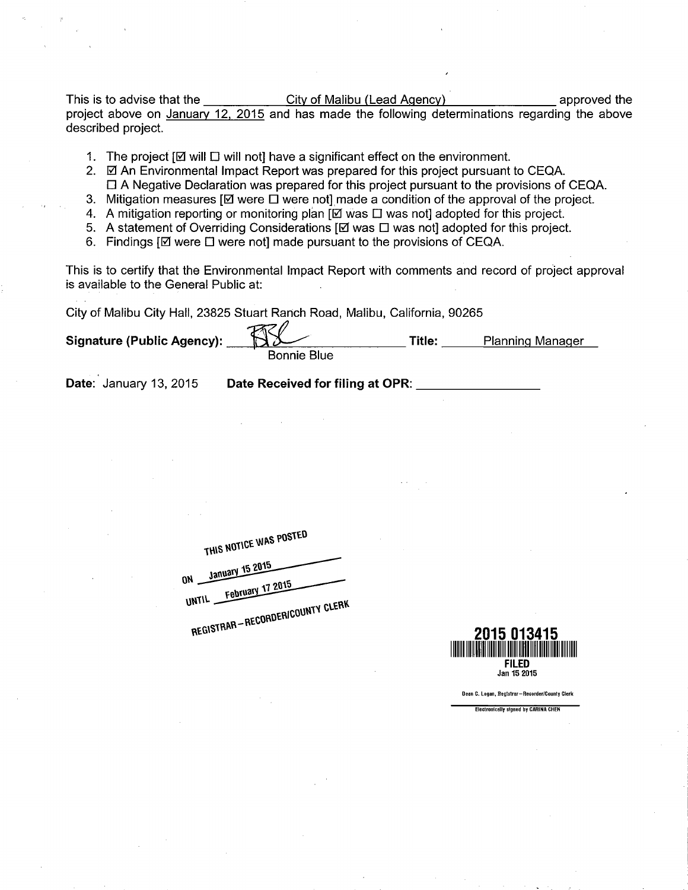This is to advise that the City of Malibu (Lead Agency) approved the project above on January 12, 2015 and has made the following determinations regarding the above described project.

- 1. The project  $[\boxtimes]$  will  $\square$  will not have a significant effect on the environment.
- 2. Ø An Environmental Impact Report was prepared for this project pursuant to CEQA. ❑ A Negative Declaration was prepared for this project pursuant to the provisions of CEQA.
- 3. Mitigation measures  $[\boxtimes]$  were  $\square$  were not] made a condition of the approval of the project.
- 4. A mitigation reporting or monitoring plan [Q was ❑was not] adopted for this project.
- 5. A statement of Overriding Considerations  $[\boxtimes]$  was  $\Box$  was not] adopted for this project. 6. Findings  $[\boxtimes]$  were  $\Box$  were not] made pursuant to the provisions of CEQA.

This is to certify that the Environmental Impact Report with comments and record of project approval is available to the Genera! Public at:

City of Malibu City Hall, 23825 Stuart Ranch Road, Malibu, California, 90265

| <b>Signature (Public Agency):</b> | m <sub>1</sub>     | <b>Title:</b> | <b>Planning Manager</b> |  |
|-----------------------------------|--------------------|---------------|-------------------------|--|
|                                   | <b>Bonnie Blue</b> |               |                         |  |

Date: January 13, 2015 Date Received for filing at OPR:

THIS NOTICE WAS POSTED ON January 15 2015 UNTIL February 17 2015 RE GIFT COUNTY CLEAN



Oeen C. Logan, Reglslrer—Necorder/County Clerk

**Electronicelly signed by CARINA CHEI**